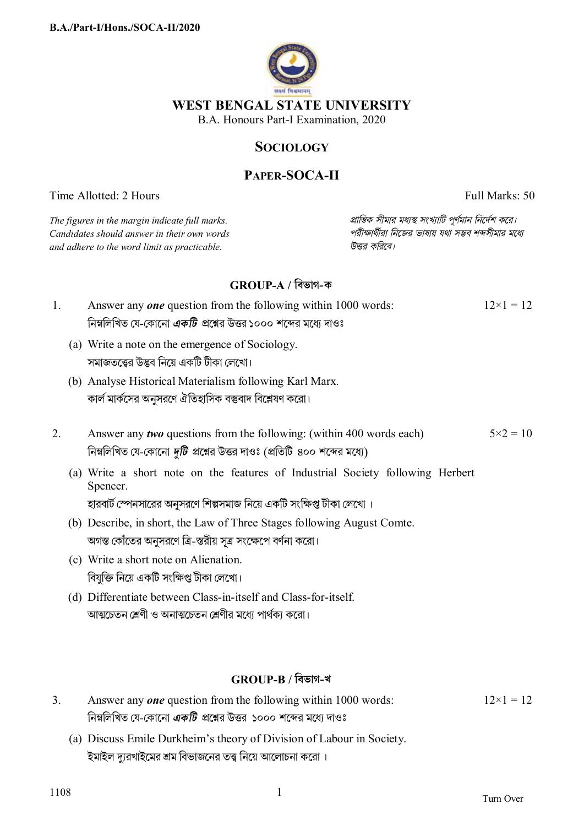

## **WEST BENGAL STATE UNIVERSITY**

B.A. Honours Part-I Examination, 2020

## **SOCIOLOGY**

## **PAPER-SOCA-II**

Time Allotted: 2 Hours Full Marks: 50

| The figures in the margin indicate full marks.<br>Candidates should answer in their own words<br>and adhere to the word limit as practicable. |                                                                                                                                                                                                                   | প্রান্তিক সীমার মধ্যস্থ সংখ্যাটি পূর্ণমান নির্দেশ করে।<br>পরীক্ষার্থীরা নিজের ভাষায় যথা সম্ভব শব্দসীমার মধ্যে<br>উত্তর করিবে। |                   |
|-----------------------------------------------------------------------------------------------------------------------------------------------|-------------------------------------------------------------------------------------------------------------------------------------------------------------------------------------------------------------------|--------------------------------------------------------------------------------------------------------------------------------|-------------------|
|                                                                                                                                               | $GROUP-A$ / বিভাগ-ক                                                                                                                                                                                               |                                                                                                                                |                   |
| 1.                                                                                                                                            | Answer any <i>one</i> question from the following within 1000 words:<br>নিম্নলিখিত যে-কোনো <i>একটি</i> প্রশ্নের উত্তর ১০০০ শব্দের মধ্যে দাওঃ                                                                      |                                                                                                                                | $12\times1=12$    |
|                                                                                                                                               | (a) Write a note on the emergence of Sociology.<br>সমাজতত্ত্বের উদ্ভব নিয়ে একটি টীকা লেখো।                                                                                                                       |                                                                                                                                |                   |
|                                                                                                                                               | (b) Analyse Historical Materialism following Karl Marx.<br>কার্ল মার্কসের অনুসরণে ঐতিহাসিক বস্তুবাদ বিশ্লেষণ করো।                                                                                                 |                                                                                                                                |                   |
| 2.                                                                                                                                            | Answer any <i>two</i> questions from the following: (within 400 words each)<br>নিম্নলিখিত যে-কোনো <i>দুটি প্র</i> শ্নের উত্তর দাওঃ (প্রতিটি ৪০০ শব্দের মধ্যে)                                                     |                                                                                                                                | $5 \times 2 = 10$ |
|                                                                                                                                               | (a) Write a short note on the features of Industrial Society following Herbert<br>Spencer.                                                                                                                        |                                                                                                                                |                   |
|                                                                                                                                               | হারবার্ট স্পেনসারের অনুসরণে শিল্পসমাজ নিয়ে একটি সংক্ষিপ্ত টীকা লেখো ।<br>(b) Describe, in short, the Law of Three Stages following August Comte.<br>অগস্ত কোঁতের অনুসরণে ত্রি-স্তরীয় সূত্র সংক্ষেপে বর্ণনা করো। |                                                                                                                                |                   |
|                                                                                                                                               | (c) Write a short note on Alienation.<br>বিযুক্তি নিয়ে একটি সংক্ষিপ্ত টীকা লেখো।                                                                                                                                 |                                                                                                                                |                   |
|                                                                                                                                               | (d) Differentiate between Class-in-itself and Class-for-itself.<br>আত্মচেতন শ্রেণী ও অনাত্মচেতন শ্রেণীর মধ্যে পার্থক্য করো।                                                                                       |                                                                                                                                |                   |

# **GROUP-B / িবভাগ-খ**

| Answer any <i>one</i> question from the following within 1000 words:  | $12 \times 1 = 12$ |
|-----------------------------------------------------------------------|--------------------|
| নিম্নলিখিত যে-কোনো <i>একটি প্র</i> শ্নের উত্তর ১০০০ শব্দের মধ্যে দাওঃ |                    |

(a) Discuss Emile Durkheim's theory of Division of Labour in Society. ইমাইল দ্যুরখাইমের শ্রম বিভাজনের তত্ত্ব নিয়ে আলোচনা করো ।